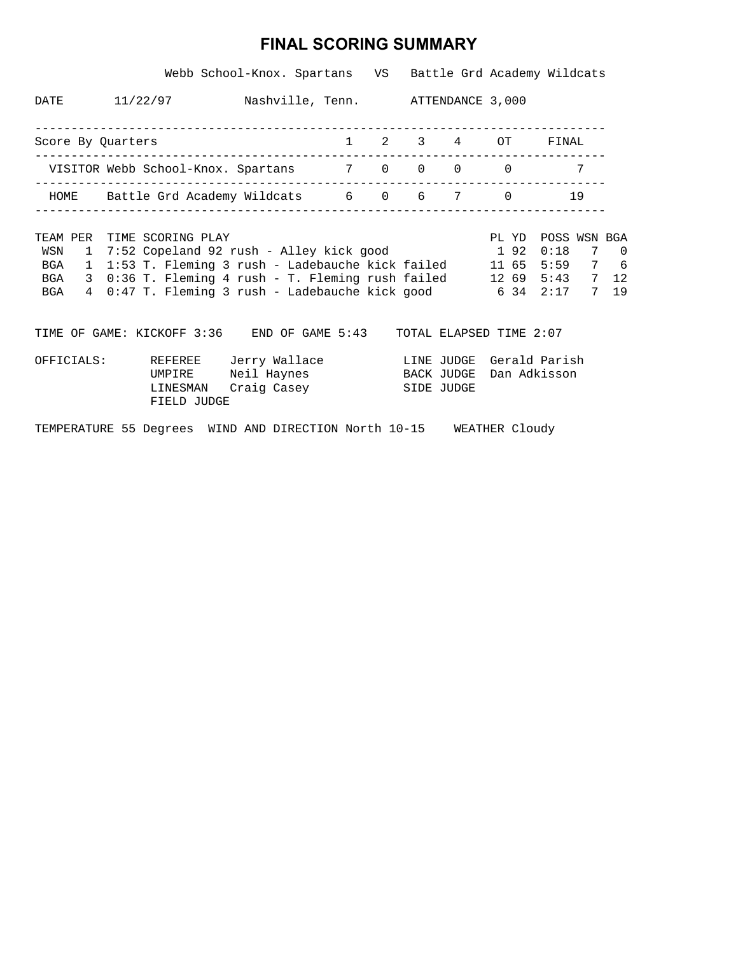### **FINAL SCORING SUMMARY**

|                          |  |                                                                                                                                                                                                                                                                               | Webb School-Knox. Spartans VS Battle Grd Academy Wildcats |                |                                |                                                                   |                |          |                            |                |    |
|--------------------------|--|-------------------------------------------------------------------------------------------------------------------------------------------------------------------------------------------------------------------------------------------------------------------------------|-----------------------------------------------------------|----------------|--------------------------------|-------------------------------------------------------------------|----------------|----------|----------------------------|----------------|----|
| DATE                     |  | 11/22/97 Nashville, Tenn. ATTENDANCE 3,000                                                                                                                                                                                                                                    |                                                           |                |                                |                                                                   |                |          |                            |                |    |
| Score By Quarters        |  |                                                                                                                                                                                                                                                                               |                                                           | $1 \quad \Box$ | $2 \left( \frac{1}{2} \right)$ | $3 \quad \blacksquare$                                            | $\overline{4}$ | OT       | FINAL                      |                |    |
|                          |  | VISITOR Webb School-Knox. Spartans 7                                                                                                                                                                                                                                          |                                                           |                | $\Omega$                       |                                                                   | $0\qquad 0$    | $\Omega$ |                            |                |    |
|                          |  | HOME Battle Grd Academy Wildcats 6 0                                                                                                                                                                                                                                          |                                                           |                |                                |                                                                   | 6 7 0          |          |                            | 19             |    |
| WSN<br>BGA<br>BGA<br>BGA |  | TEAM PER TIME SCORING PLAY<br>1 7:52 Copeland 92 rush - Alley kick good<br>1 1:53 T. Fleming 3 rush - Ladebauche kick failed 11 65 5:59 7 6<br>3 0:36 T. Fleming 4 rush - T. Fleming rush failed 12 69 5:43 7 12<br>4 0:47 T. Fleming 3 rush - Ladebauche kick good 6 34 2:17 |                                                           |                |                                | 192                                                               |                | PL YD    | POSS WSN BGA<br>$0:18$ 7 0 | $7\phantom{0}$ | 19 |
|                          |  | TIME OF GAME: KICKOFF 3:36 END OF GAME 5:43                                                                                                                                                                                                                                   |                                                           |                |                                | TOTAL ELAPSED TIME 2:07                                           |                |          |                            |                |    |
| OFFICIALS:               |  | REFEREE Jerry Wallace<br>UMPIRE<br>LINESMAN<br>FIELD JUDGE                                                                                                                                                                                                                    | Neil Haynes<br>Craig Casey                                |                |                                | LINE JUDGE Gerald Parish<br>BACK JUDGE Dan Adkisson<br>SIDE JUDGE |                |          |                            |                |    |

TEMPERATURE 55 Degrees WIND AND DIRECTION North 10-15 WEATHER Cloudy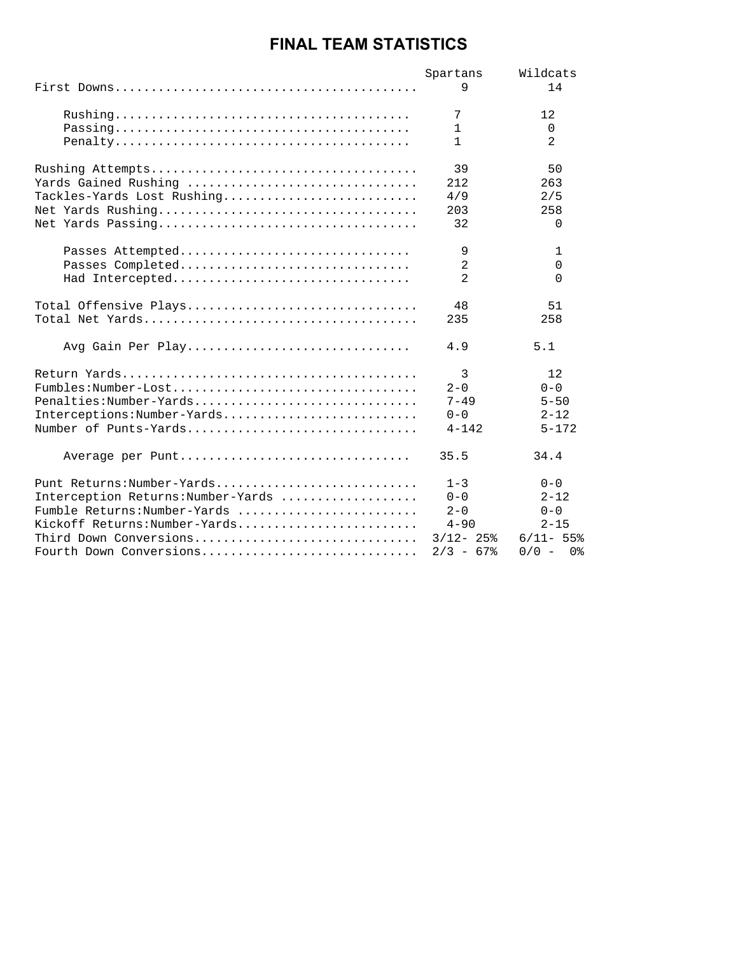## **FINAL TEAM STATISTICS**

|                                    | Spartans       | Wildcats       |
|------------------------------------|----------------|----------------|
|                                    | 9              | 14             |
|                                    |                |                |
|                                    | 7              | 12             |
|                                    | $\mathbf{1}$   | $\mathbf 0$    |
|                                    | $\mathbf{1}$   | $\overline{a}$ |
|                                    |                |                |
|                                    | 39             | 50             |
| Yards Gained Rushing               | 212            | 263            |
| Tackles-Yards Lost Rushing         | 4/9            | 2/5            |
|                                    | 203            | 258            |
|                                    | 32             | $\Omega$       |
|                                    |                |                |
| Passes Attempted                   | 9              | 1              |
| Passes Completed                   | $\overline{2}$ | $\mathbf 0$    |
| Had Intercepted                    | $\mathfrak{D}$ | $\Omega$       |
|                                    |                |                |
| Total Offensive Plays              | 48             | 51             |
|                                    | 235            | 258            |
|                                    |                |                |
| Avg Gain Per Play                  | 4.9            | 5.1            |
|                                    |                |                |
|                                    | 3              | 12             |
|                                    | $2 - 0$        | $0 - 0$        |
| Penalties: Number-Yards            | $7 - 49$       | $5 - 50$       |
| Interceptions: Number-Yards        | $0 - 0$        | $2 - 12$       |
| Number of Punts-Yards              | $4 - 142$      | $5 - 172$      |
|                                    |                |                |
| Average per Punt                   | 35.5           | 34.4           |
|                                    |                |                |
| Punt Returns: Number-Yards         | $1 - 3$        | $0 - 0$        |
| Interception Returns: Number-Yards | $0 - 0$        | $2 - 12$       |
| Fumble Returns: Number-Yards       | $2 - 0$        | $0 - 0$        |
| Kickoff Returns: Number-Yards      | $4 - 90$       | $2 - 15$       |
| Third Down Conversions             | $3/12 - 25$ %  | $6/11 - 55$    |
| Fourth Down Conversions            | $2/3 - 67$     | $0/0 - 0$ %    |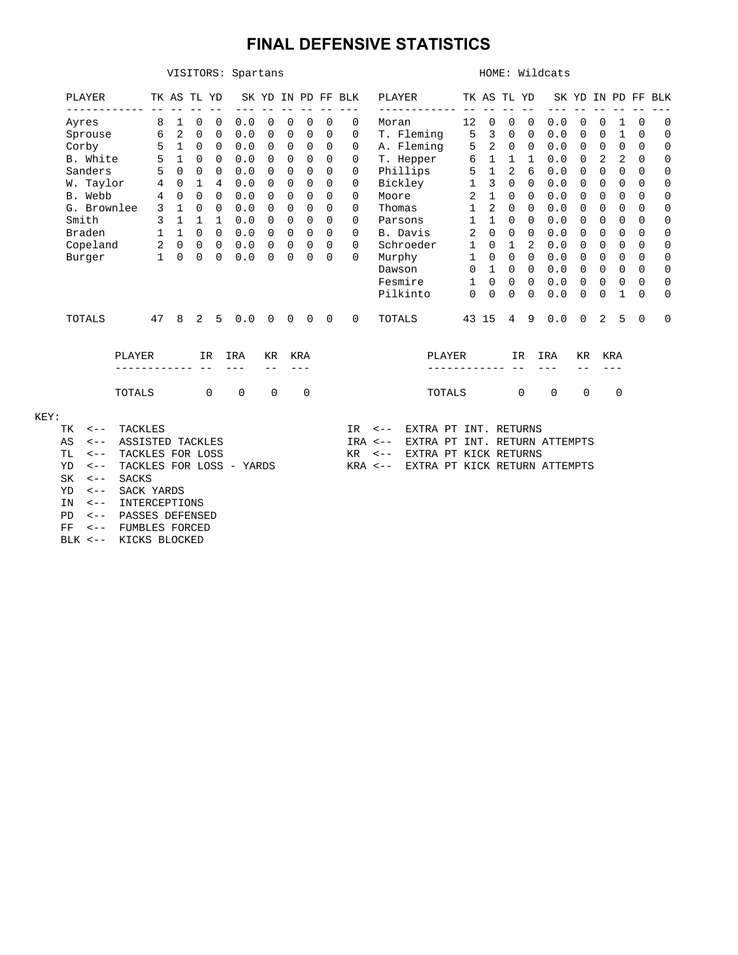### **FINAL DEFENSIVE STATISTICS**

#### VISITORS: Spartans Mome: Wildcats PLAYER TK AS TL YD SK YD IN PD FF BLK PLAYER TK AS TL YD SK YD IN PD FF BLK ------------ -- -- -- -- --- -- -- -- -- --- ------------ -- -- -- -- --- -- -- -- -- --- Ayres 8 1 0 0 0.0 0 0 0 0 0 Moran 12 0 0 0 0.0 0 0 1 0 0<br>Sprouse 6 2 0 0 0.0 0 0 0 0 0 0 T. Fleming 5 3 0 0 0.0 0 0 1 0 0 Sprouse 6 2 0 0 0.0 0 0 0 0 0 T. Fleming 5 3 0 0 0.0 0 0 1 0 0 Corby 5 1 0 0 0.0 0 0 0 0 0 A. Fleming 5 2 0 0 0.0 0 0 0 0 0 B. White 5 1 0 0 0.0 0 0 0 0 0 T. Hepper 6 1 1 1 0.0 0 2 2 0 0 Sanders 5 0 0 0 0.0 0 0 0 0 0 Phillips 5 1 2 6 0.0 0 0 0 0 0 W. Taylor 4 0 1 4 0.0 0 0 0 0 0 Bickley 1 3 0 0 0.0 0 0 0 0 0 B. Webb 4 0 0 0 0.0 0 0 0 0 0 Moore 2 1 0 0 0.0 0 0 0 0 0 G. Brownlee 3 1 0 0 0.0 0 0 0 0 0 Thomas 1 2 0 0 0.0 0 0 0 0 0 Smith 3 1 1 1 0.0 0 0 0 0 0 Parsons 1 1 0 0 0.0 0 0 0 0 0 Braden 1 1 0 0 0.0 0 0 0 0 0 B. Davis 2 0 0 0 0.0 0 0 0 0 0 Copeland 2 0 0 0 0.0 0 0 0 0 0 Schroeder 1 0 1 2 0.0 0 0 0 0 0 Burger 1 0 0 0 0.0 0 0 0 0 0 Murphy 1 0 0 0 0.0 0 0 0 0 0 Dawson 0 1 0 0 0.0 0 0 0 0 0 Fesmire 1 0 0 0 0.0 0 0 0 0 0<br>Pilkinto 0 0 0 0 0 0 0 0 1 0 0 Pilkinto 0 0 0 0 0.0 0 0 1 0 0 TOTALS 47 8 2 5 0.0 0 0 0 0 0 TOTALS 43 15 4 9 0.0 0 2 5 0 0 PLAYER IR IRA KR KRA PLAYER IR IRA KR KRA ------------ -- --- -- --- ------------ -- --- -- --- TOTALS 0 0 0 0 TOTALS 0 0 0 0 KEY:<br>TK <-- TACKLES IR <-- EXTRA PT INT. RETURNS AS <-- ASSISTED TACKLES THE RETURN ATTEMPTS IRA <-- EXTRA PT INT. RETURN ATTEMPTS TL <-- TACKLES FOR LOSS  $\begin{array}{ccc} \texttt{KR} & \texttt{M} & \texttt{K} & \texttt{M} & \texttt{K} \\ \texttt{K} & \texttt{K} & \texttt{K} & \texttt{S} & \texttt{K} & \texttt{K} \end{array}$ YD <-- TACKLES FOR LOSS - YARDS KRA <-- EXTRA PT KICK RETURN ATTEMPTS SK <-- SACKS YD <-- SACK YARDS IN <-- INTERCEPTIONS PD <-- PASSES DEFENSED FF <-- FUMBLES FORCED

BLK <-- KICKS BLOCKED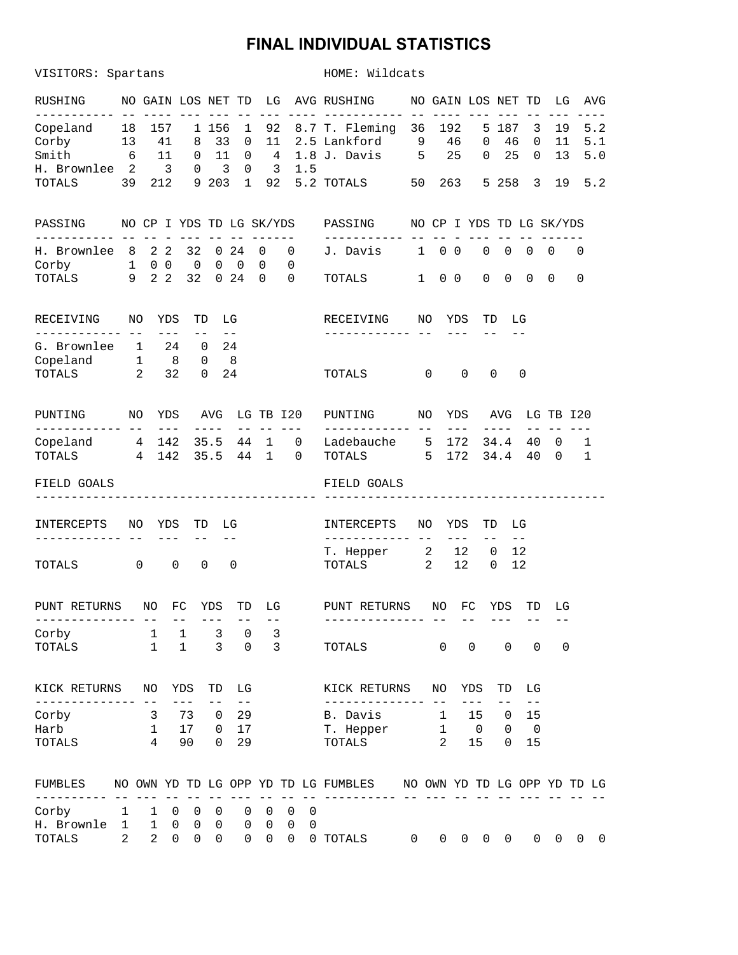## **FINAL INDIVIDUAL STATISTICS**

| VISITORS: Spartans                           |                 |                                   |                                 |                                                                      |                                             |                                             |                    |        | HOME: Wildcats                                                                                                                                                                                                    |
|----------------------------------------------|-----------------|-----------------------------------|---------------------------------|----------------------------------------------------------------------|---------------------------------------------|---------------------------------------------|--------------------|--------|-------------------------------------------------------------------------------------------------------------------------------------------------------------------------------------------------------------------|
| RUSHING<br>------------ -- ----              |                 |                                   |                                 | NO GAIN LOS NET TD LG                                                | $- - -$                                     |                                             |                    |        | AVG RUSHING<br>NO GAIN LOS NET TD<br>AVG<br>LG<br>--- ---- ------------ --<br>$- - - - -$<br>$- - - -$<br>$- - -$<br>$- -$<br>$- - -$                                                                             |
| Copeland<br>Corby<br>Smith                   | 18<br>13<br>- 6 | 157<br>41<br>11                   |                                 | 1 156<br>33<br>8<br>11<br>$\overline{0}$                             | $\mathbf{1}$<br>$\mathbf 0$<br>$\mathsf{O}$ | 92<br>11<br>$\overline{4}$                  |                    |        | 8.7 T. Fleming 36<br>192<br>5 187<br>3<br>19<br>5.2<br>2.5 Lankford 9<br>46<br>46<br>5.1<br>$\mathbf{0}$<br>0<br>11<br>25<br>25<br>5.0<br>1.8 J. Davis<br>5<br>$\overline{0}$<br>13<br>0                          |
| H. Brownlee 2<br>TOTALS                      | 39              | $\overline{\phantom{a}}$<br>212   |                                 | $0 \qquad 3$<br>9 203                                                | $\mathsf{O}$<br>$\mathbf{1}$                | $\overline{\phantom{a}}$<br>92              |                    | 1.5    | 5.2 TOTALS<br>50<br>263<br>5 258<br>3<br>19<br>5.2                                                                                                                                                                |
| PASSING                                      |                 |                                   |                                 | NO CP I YDS TD LG SK/YDS                                             |                                             |                                             |                    |        | NO CP I YDS TD LG SK/YDS<br>PASSING                                                                                                                                                                               |
| H. Brownlee 8 2 2<br>Corby<br>TOTALS         |                 | 1 0 0<br>$9$ 2 2                  | 32<br>$\overline{0}$<br>32      | $\overline{0}$                                                       | 024<br>$\overline{0}$<br>0.24               | 0<br>0<br>$\Omega$                          | 0<br>0<br>$\Omega$ |        | $0\quad 0$<br>0<br>$\mathbf 0$<br>0<br>J. Davis<br>$\Omega$<br>$\Omega$<br>1<br>$\mathbf 0$<br>$\mathbf 0$<br>$\mathbf{1}$<br>$0\quad 0$<br>$\Omega$<br>$\Omega$<br>0<br>TOTALS                                   |
| RECEIVING<br>________________                | NO.             | YDS<br>$- - -$                    |                                 | TD<br>$\frac{1}{2}$                                                  | LG<br>$\frac{1}{2}$                         |                                             |                    |        | RECEIVING<br>NO<br>YDS<br>LG<br>TD<br>$---$<br>$- -$<br>$- -$                                                                                                                                                     |
| G. Brownlee<br>Copeland 1 8<br><b>TOTALS</b> |                 | $\mathbf{1}$<br>2                 | 24<br>32                        | 0<br>0<br>0                                                          | 24<br>- 8<br>24                             |                                             |                    |        | 0<br>$\mathbf 0$<br>$\mathbf 0$<br>TOTALS<br>0                                                                                                                                                                    |
| PUNTING<br>------------ --                   | NO.             | YDS<br>$  -$                      |                                 | AVG<br>$- - - - -$                                                   |                                             | LG TB 120                                   |                    |        | PUNTING<br>NO.<br>YDS.<br>AVG<br>LG TB 120<br>---------------<br>$---$<br>$- - - - -$<br>$- - - - -$                                                                                                              |
| Copeland 4<br>$\overline{4}$<br>TOTALS       |                 | 142<br>142                        |                                 | 35.5<br>35.5                                                         |                                             | 44 1<br>44 1                                |                    | 0<br>0 | Ladebauche 5<br>34.4<br>172<br>40<br>0<br>1<br>5<br>172<br>40<br>1<br>TOTALS<br>34.4<br>0                                                                                                                         |
| FIELD GOALS                                  |                 |                                   |                                 |                                                                      |                                             |                                             |                    |        | FIELD GOALS                                                                                                                                                                                                       |
| INTERCEPTS                                   | NO.             | YDS<br>$\qquad \qquad - -$        |                                 | TD<br>$ -$                                                           | LG<br>$- \, -$                              |                                             |                    |        | INTERCEPTS<br>NO.<br>YDS<br>TD<br>LG<br>$- -$<br>------------ --<br>$---$                                                                                                                                         |
| TOTALS                                       |                 | 0                                 | $\mathbf 0$                     | 0                                                                    | 0                                           |                                             |                    |        | T. Hepper 2<br>12<br>12<br>$\overline{0}$<br>2<br>12<br>12<br>TOTALS<br>$\Omega$                                                                                                                                  |
| PUNT RETURNS                                 |                 | NO                                | ${\rm FC}$                      | YDS                                                                  | TD                                          | LG                                          |                    |        | PUNT RETURNS<br>NO<br>${\rm FC}$<br>YDS<br>TD<br>LG                                                                                                                                                               |
| Corby<br>TOTALS                              |                 | $\mathbf{1}$<br>$\mathbf{1}$      | 1<br>$\mathbf{1}$               | 3<br>$\mathfrak{Z}$                                                  | 0<br>$\mathbf 0$                            | 3<br>$\mathbf{3}$                           |                    |        | $\mathbf 0$<br>$\mathbf 0$<br>0<br>0<br>$\mathbf 0$<br>TOTALS                                                                                                                                                     |
| KICK RETURNS                                 |                 | NO                                | YDS                             | TD                                                                   | LG                                          |                                             |                    |        | KICK RETURNS<br>YDS<br>LG<br>NO<br>TD                                                                                                                                                                             |
| ------------- --<br>Corby<br>Harb<br>TOTALS  |                 | $\mathbf{3}$<br>$\mathbf{1}$<br>4 | $\frac{1}{2}$<br>73<br>17<br>90 | $\equiv$ $\equiv$<br>$\overline{0}$<br>$\overline{0}$<br>$\mathbf 0$ | $ -$<br>29<br>$17$<br>29                    |                                             |                    |        | $---$<br>$ -$<br>$ -$<br>-------------- -- -<br>15<br>15<br>B. Davis<br>$\mathbf{1}$<br>$\overline{0}$<br>$1 \qquad 0$<br>T. Hepper<br>$\overline{\phantom{0}}$<br>0<br>TOTALS<br>$\overline{2}$<br>15<br>15<br>0 |
| FUMBLES<br>$- - - - -$                       |                 |                                   |                                 |                                                                      |                                             |                                             |                    |        | NO OWN YD TD LG OPP YD TD LG FUMBLES     NO OWN YD TD LG OPP YD TD LG<br>------ --                                                                                                                                |
| Corby                                        |                 |                                   | $- -$                           | 1 1 0 0 0                                                            |                                             | $- -$<br>$0\qquad 0\qquad 0\qquad 0$        | $\qquad \qquad -$  |        |                                                                                                                                                                                                                   |
| H. Brownle 1 1 0 0 0<br>TOTALS               | $\overline{2}$  |                                   |                                 | 2 0 0 0                                                              |                                             | $\begin{matrix} 0 & 0 & 0 & 0 \end{matrix}$ |                    |        | 0 0 0 0 TOTALS<br>$0\quad 0\quad 0$                                                                                                                                                                               |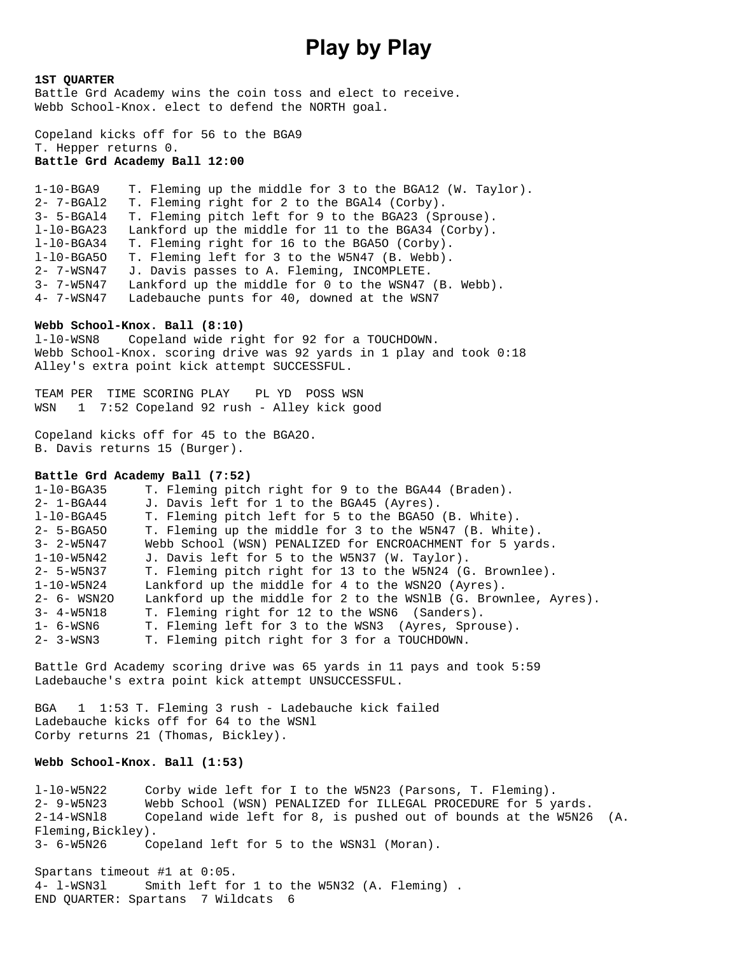# **Play by Play**

#### **1ST QUARTER**

Battle Grd Academy wins the coin toss and elect to receive. Webb School-Knox. elect to defend the NORTH goal.

Copeland kicks off for 56 to the BGA9 T. Hepper returns 0. **Battle Grd Academy Ball 12:00**

1-10-BGA9 T. Fleming up the middle for 3 to the BGA12 (W. Taylor). 2- 7-BGAl2 T. Fleming right for 2 to the BGAl4 (Corby). 3- 5-BGAl4 T. Fleming pitch left for 9 to the BGA23 (Sprouse). l-l0-BGA23 Lankford up the middle for 11 to the BGA34 (Corby). l-l0-BGA34 T. Fleming right for 16 to the BGA5O (Corby). l-l0-BGA5O T. Fleming left for 3 to the W5N47 (B. Webb). 2- 7-WSN47 J. Davis passes to A. Fleming, INCOMPLETE. 3- 7-W5N47 Lankford up the middle for 0 to the WSN47 (B. Webb). 4- 7-WSN47 Ladebauche punts for 40, downed at the WSN7

#### **Webb School-Knox. Ball (8:10)**

l-l0-WSN8 Copeland wide right for 92 for a TOUCHDOWN. Webb School-Knox. scoring drive was 92 yards in 1 play and took 0:18 Alley's extra point kick attempt SUCCESSFUL.

TEAM PER TIME SCORING PLAY PL YD POSS WSN WSN 1 7:52 Copeland 92 rush - Alley kick good

Copeland kicks off for 45 to the BGA2O. B. Davis returns 15 (Burger).

#### **Battle Grd Academy Ball (7:52)**

| $1 - 10 - BGA35$ | T. Fleming pitch right for 9 to the BGA44 (Braden).             |
|------------------|-----------------------------------------------------------------|
| $2 - 1 - BGA44$  | J. Davis left for 1 to the BGA45 (Ayres).                       |
| $1-10-BGA45$     | T. Fleming pitch left for 5 to the BGA50 (B. White).            |
| $2 - 5 - BGA5O$  | T. Fleming up the middle for 3 to the W5N47 (B. White).         |
| $3 - 2 - W5N47$  | Webb School (WSN) PENALIZED for ENCROACHMENT for 5 yards.       |
| $1 - 10 - W5N42$ | J. Davis left for 5 to the W5N37 (W. Taylor).                   |
| $2 - 5 - W5N37$  | T. Fleming pitch right for 13 to the W5N24 (G. Brownlee).       |
| $1 - 10 - W5N24$ | Lankford up the middle for 4 to the WSN2O (Ayres).              |
| $2 - 6 - WSN2O$  | Lankford up the middle for 2 to the WSNlB (G. Brownlee, Ayres). |
| $3 - 4 - W5N18$  | T. Fleming right for 12 to the WSN6 (Sanders).                  |
| 1- 6-WSN6        | T. Fleming left for 3 to the WSN3 (Ayres, Sprouse).             |
| $2 - 3 - WSN3$   | T. Fleming pitch right for 3 for a TOUCHDOWN.                   |

Battle Grd Academy scoring drive was 65 yards in 11 pays and took 5:59 Ladebauche's extra point kick attempt UNSUCCESSFUL.

BGA 1 1:53 T. Fleming 3 rush - Ladebauche kick failed Ladebauche kicks off for 64 to the WSNl Corby returns 21 (Thomas, Bickley).

#### **Webb School-Knox. Ball (1:53)**

l-l0-W5N22 Corby wide left for I to the W5N23 (Parsons, T. Fleming). 2- 9-W5N23 Webb School (WSN) PENALIZED for ILLEGAL PROCEDURE for 5 yards. 2-14-WSNl8 Copeland wide left for 8, is pushed out of bounds at the W5N26 (A. Fleming,Bickley). 3- 6-W5N26 Copeland left for 5 to the WSN3l (Moran).

Spartans timeout #1 at 0:05. 4- l-WSN3l Smith left for 1 to the W5N32 (A. Fleming) . END QUARTER: Spartans 7 Wildcats 6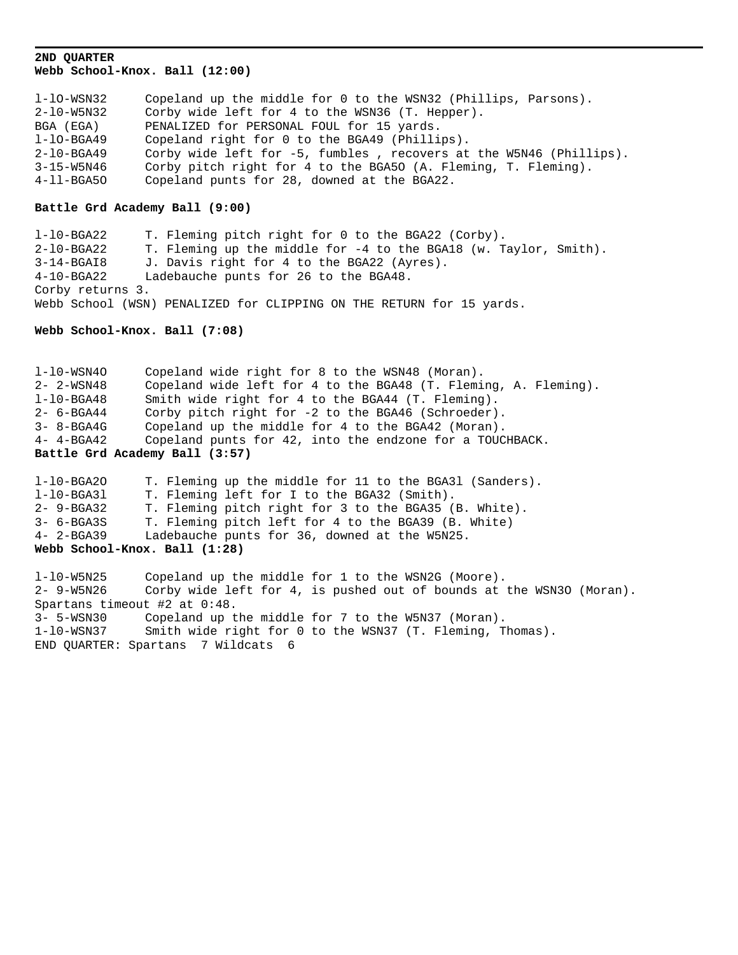#### **2ND QUARTER Webb School-Knox. Ball (12:00)**

| $1 - 10 - WSN32$ | Copeland up the middle for 0 to the WSN32 (Phillips, Parsons).     |
|------------------|--------------------------------------------------------------------|
| $2 - 10 - W5N32$ | Corby wide left for 4 to the WSN36 (T. Hepper).                    |
| BGA (EGA)        | PENALIZED for PERSONAL FOUL for 15 yards.                          |
| $1-10-BGA49$     | Copeland right for 0 to the BGA49 (Phillips).                      |
| $2-10-BGA49$     | Corby wide left for -5, fumbles, recovers at the W5N46 (Phillips). |
| $3 - 15 - W5N46$ | Corby pitch right for 4 to the BGA50 (A. Fleming, T. Fleming).     |
| $4-11-BG A50$    | Copeland punts for 28, downed at the BGA22.                        |

#### **Battle Grd Academy Ball (9:00)**

l-l0-BGA22 T. Fleming pitch right for 0 to the BGA22 (Corby). 2-l0-BGA22 T. Fleming up the middle for -4 to the BGA18 (w. Taylor, Smith). 3-14-BGAI8 J. Davis right for 4 to the BGA22 (Ayres). 4-10-BGA22 Ladebauche punts for 26 to the BGA48. Corby returns 3. Webb School (WSN) PENALIZED for CLIPPING ON THE RETURN for 15 yards.

#### **Webb School-Knox. Ball (7:08)**

| $1-10-WSN40$     | Copeland wide right for 8 to the WSN48 (Moran).                 |
|------------------|-----------------------------------------------------------------|
| $2 - 2 - WSN48$  | Copeland wide left for 4 to the BGA48 (T. Fleming, A. Fleming). |
| $1-10-BGA48$     | Smith wide right for 4 to the BGA44 (T. Fleming).               |
| $2 - 6 - BGA44$  | Corby pitch right for -2 to the BGA46 (Schroeder).              |
| $3 - 8 - BGA4G$  | Copeland up the middle for 4 to the BGA42 (Moran).              |
| $4-4-BGA42$      | Copeland punts for 42, into the endzone for a TOUCHBACK.        |
|                  | Battle Grd Academy Ball (3:57)                                  |
|                  |                                                                 |
|                  |                                                                 |
| $1 - 10 - BGA2O$ | T. Fleming up the middle for 11 to the BGA31 (Sanders).         |
| $1 - 10 - BGA31$ | T. Fleming left for I to the BGA32 (Smith).                     |
| $2 - 9 - BGA32$  | T. Fleming pitch right for 3 to the BGA35 (B. White).           |

4- 2-BGA39 Ladebauche punts for 36, downed at the W5N25.

#### **Webb School-Knox. Ball (1:28)**

l-l0-W5N25 Copeland up the middle for 1 to the WSN2G (Moore). 2- 9-W5N26 Corby wide left for 4, is pushed out of bounds at the WSN3O (Moran). Spartans timeout #2 at 0:48. 3- 5-WSN30 Copeland up the middle for 7 to the W5N37 (Moran). 1-l0-WSN37 Smith wide right for 0 to the WSN37 (T. Fleming, Thomas). END QUARTER: Spartans 7 Wildcats 6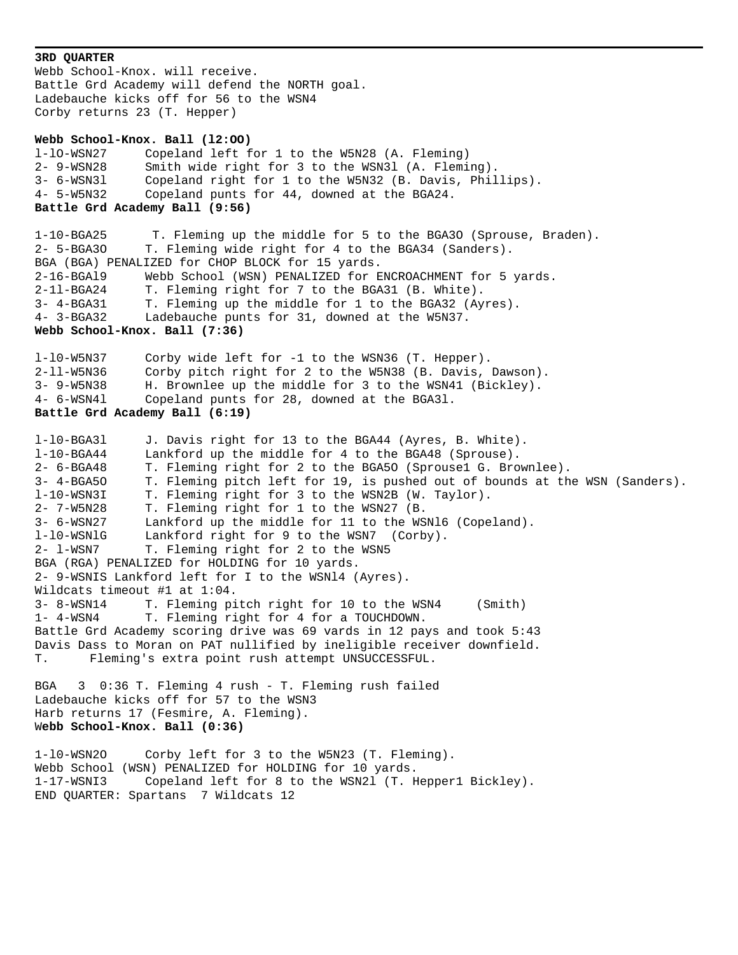#### **3RD QUARTER**

Webb School-Knox. will receive. Battle Grd Academy will defend the NORTH goal. Ladebauche kicks off for 56 to the WSN4 Corby returns 23 (T. Hepper)

#### **Webb School-Knox. Ball (l2:OO)**

l-lO-WSN27 Copeland left for 1 to the W5N28 (A. Fleming) 2- 9-WSN28 Smith wide right for 3 to the WSN3l (A. Fleming). 3- 6-WSN3l Copeland right for 1 to the W5N32 (B. Davis, Phillips). 4- 5-W5N32 Copeland punts for 44, downed at the BGA24. **Battle Grd Academy Ball (9:56)**

1-10-BGA25 T. Fleming up the middle for 5 to the BGA3O (Sprouse, Braden). 2- 5-BGA3O T. Fleming wide right for 4 to the BGA34 (Sanders). BGA (BGA) PENALIZED for CHOP BLOCK for 15 yards. 2-16-BGAl9 Webb School (WSN) PENALIZED for ENCROACHMENT for 5 yards. 2-1l-BGA24 T. Fleming right for 7 to the BGA31 (B. White). 3- 4-BGA31 T. Fleming up the middle for 1 to the BGA32 (Ayres). 4- 3-BGA32 Ladebauche punts for 31, downed at the W5N37.

#### **Webb School-Knox. Ball (7:36)**

l-l0-W5N37 Corby wide left for -1 to the WSN36 (T. Hepper). 2-ll-W5N36 Corby pitch right for 2 to the W5N38 (B. Davis, Dawson). 3- 9-W5N38 H. Brownlee up the middle for 3 to the WSN41 (Bickley). 4- 6-WSN4l Copeland punts for 28, downed at the BGA3l. **Battle Grd Academy Ball (6:19)**

l-l0-BGA3l J. Davis right for 13 to the BGA44 (Ayres, B. White). l-10-BGA44 Lankford up the middle for 4 to the BGA48 (Sprouse). 2- 6-BGA48 T. Fleming right for 2 to the BGA5O (Sprouse1 G. Brownlee). 3- 4-BGA5O T. Fleming pitch left for 19, is pushed out of bounds at the WSN (Sanders). l-10-WSN3I T. Fleming right for 3 to the WSN2B (W. Taylor). 2- 7-W5N28 T. Fleming right for 1 to the WSN27 (B. 3- 6-WSN27 Lankford up the middle for 11 to the WSNl6 (Copeland). l-l0-WSNlG Lankford right for 9 to the WSN7 (Corby). 2- l-WSN7 T. Fleming right for 2 to the WSN5 BGA (RGA) PENALIZED for HOLDING for 10 yards. 2- 9-WSNIS Lankford left for I to the WSNl4 (Ayres). Wildcats timeout #1 at 1:04. 3- 8-WSN14 T. Fleming pitch right for 10 to the WSN4 (Smith) 1- 4-WSN4 T. Fleming right for 4 for a TOUCHDOWN. Battle Grd Academy scoring drive was 69 vards in 12 pays and took 5:43 Davis Dass to Moran on PAT nullified by ineligible receiver downfield. T. Fleming's extra point rush attempt UNSUCCESSFUL. BGA 3 0:36 T. Fleming 4 rush - T. Fleming rush failed Ladebauche kicks off for 57 to the WSN3 Harb returns 17 (Fesmire, A. Fleming).

W**ebb School-Knox. Ball (0:36)**

1-l0-WSN2O Corby left for 3 to the W5N23 (T. Fleming). Webb School (WSN) PENALIZED for HOLDING for 10 yards. 1-17-WSNI3 Copeland left for 8 to the WSN2l (T. Hepper1 Bickley). END QUARTER: Spartans 7 Wildcats 12